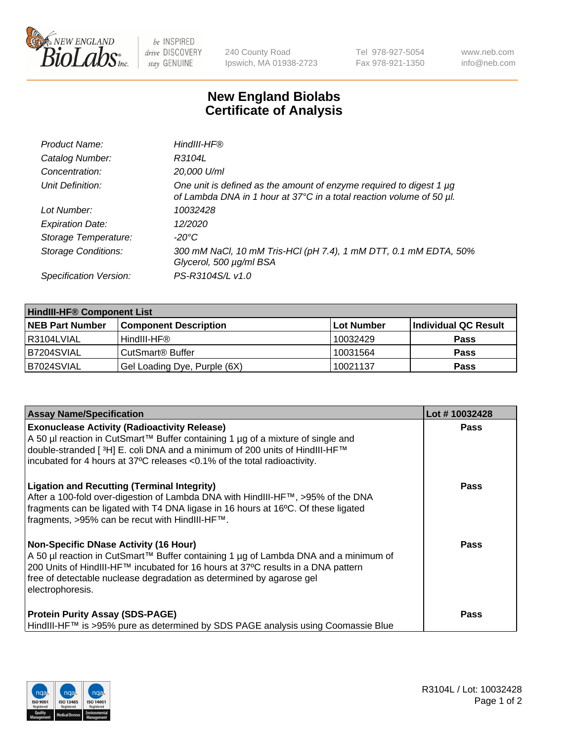

be INSPIRED drive DISCOVERY stay GENUINE

240 County Road Ipswich, MA 01938-2723 Tel 978-927-5054 Fax 978-921-1350 www.neb.com info@neb.com

## **New England Biolabs Certificate of Analysis**

| Product Name:              | HindIII-HF®                                                                                                                                      |
|----------------------------|--------------------------------------------------------------------------------------------------------------------------------------------------|
| Catalog Number:            | R3104L                                                                                                                                           |
| Concentration:             | 20,000 U/ml                                                                                                                                      |
| Unit Definition:           | One unit is defined as the amount of enzyme required to digest 1 $\mu$ g<br>of Lambda DNA in 1 hour at 37°C in a total reaction volume of 50 µl. |
| Lot Number:                | 10032428                                                                                                                                         |
| <b>Expiration Date:</b>    | 12/2020                                                                                                                                          |
| Storage Temperature:       | -20°C                                                                                                                                            |
| <b>Storage Conditions:</b> | 300 mM NaCl, 10 mM Tris-HCl (pH 7.4), 1 mM DTT, 0.1 mM EDTA, 50%<br>Glycerol, 500 µg/ml BSA                                                      |
| Specification Version:     | PS-R3104S/L v1.0                                                                                                                                 |

| <b>HindIII-HF® Component List</b> |                              |            |                      |  |  |
|-----------------------------------|------------------------------|------------|----------------------|--|--|
| <b>NEB Part Number</b>            | <b>Component Description</b> | Lot Number | Individual QC Result |  |  |
| R3104LVIAL                        | HindIII-HF®                  | 10032429   | <b>Pass</b>          |  |  |
| B7204SVIAL                        | CutSmart <sup>®</sup> Buffer | 10031564   | <b>Pass</b>          |  |  |
| B7024SVIAL                        | Gel Loading Dye, Purple (6X) | 10021137   | <b>Pass</b>          |  |  |

| <b>Assay Name/Specification</b>                                                                                                                                                                                                                                                                                     | Lot #10032428 |
|---------------------------------------------------------------------------------------------------------------------------------------------------------------------------------------------------------------------------------------------------------------------------------------------------------------------|---------------|
| <b>Exonuclease Activity (Radioactivity Release)</b><br>  A 50 µl reaction in CutSmart™ Buffer containing 1 µg of a mixture of single and<br>double-stranded [ <sup>3</sup> H] E. coli DNA and a minimum of 200 units of HindIII-HF™<br>incubated for 4 hours at 37°C releases <0.1% of the total radioactivity.     | <b>Pass</b>   |
| <b>Ligation and Recutting (Terminal Integrity)</b><br>After a 100-fold over-digestion of Lambda DNA with HindIII-HF™, >95% of the DNA<br>fragments can be ligated with T4 DNA ligase in 16 hours at 16°C. Of these ligated<br>fragments, >95% can be recut with HindIII-HF™.                                        | Pass          |
| <b>Non-Specific DNase Activity (16 Hour)</b><br>A 50 µl reaction in CutSmart™ Buffer containing 1 µg of Lambda DNA and a minimum of<br>200 Units of HindIII-HF™ incubated for 16 hours at 37°C results in a DNA pattern<br>free of detectable nuclease degradation as determined by agarose gel<br>electrophoresis. | Pass          |
| <b>Protein Purity Assay (SDS-PAGE)</b><br>HindIII-HF™ is >95% pure as determined by SDS PAGE analysis using Coomassie Blue                                                                                                                                                                                          | <b>Pass</b>   |